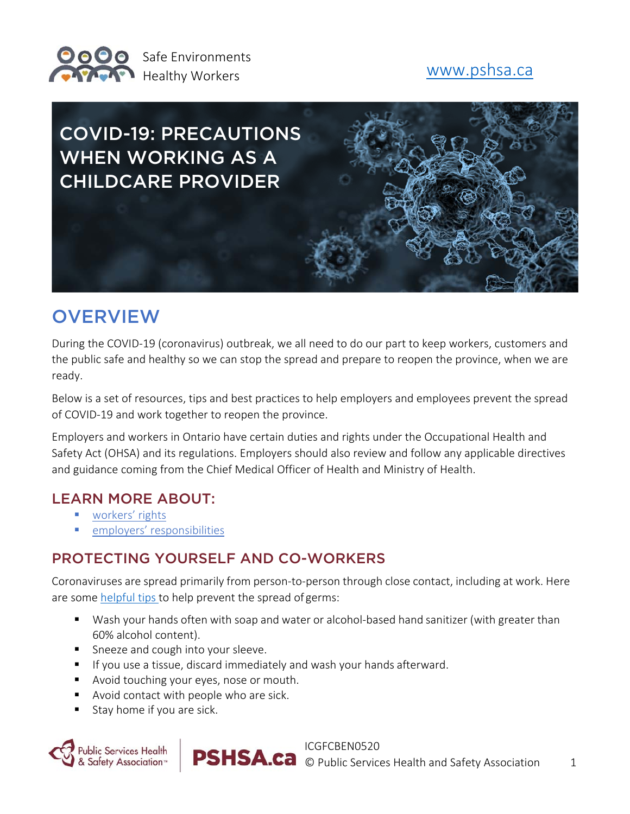

# COVID-19: PRECAUTIONS WHEN WORKING AS A CHILDCARE PROVIDER

## **OVERVIEW**

During the COVID‐19 (coronavirus) outbreak, we all need to do our part to keep workers, customers and the public safe and healthy so we can stop the spread and prepare to reopen the province, when we are ready.

Below is a set of resources, tips and best practices to help employers and employees prevent the spread of COVID‐19 and work together to reopen the province.

Employers and workers in Ontario have certain duties and rights under the Occupational Health and Safety Act (OHSA) and its regulations. Employers should also review and follow any applicable directives and guidance coming from the Chief Medical Officer of Health and Ministry of Health.

#### LEARN MORE ABOUT:

- **workers' rights**
- employers' responsibilities

#### PROTECTING YOURSELF AND CO-WORKERS

Coronaviruses are spread primarily from person‐to‐person through close contact, including at work. Here are some helpful tips to help prevent the spread of germs:

- Wash your hands often with soap and water or alcohol-based hand sanitizer (with greater than 60% alcohol content).
- **Sneeze and cough into your sleeve.**
- **If you use a tissue, discard immediately and wash your hands afterward.**
- Avoid touching your eyes, nose or mouth.
- Avoid contact with people who are sick.
- Stay home if you are sick.

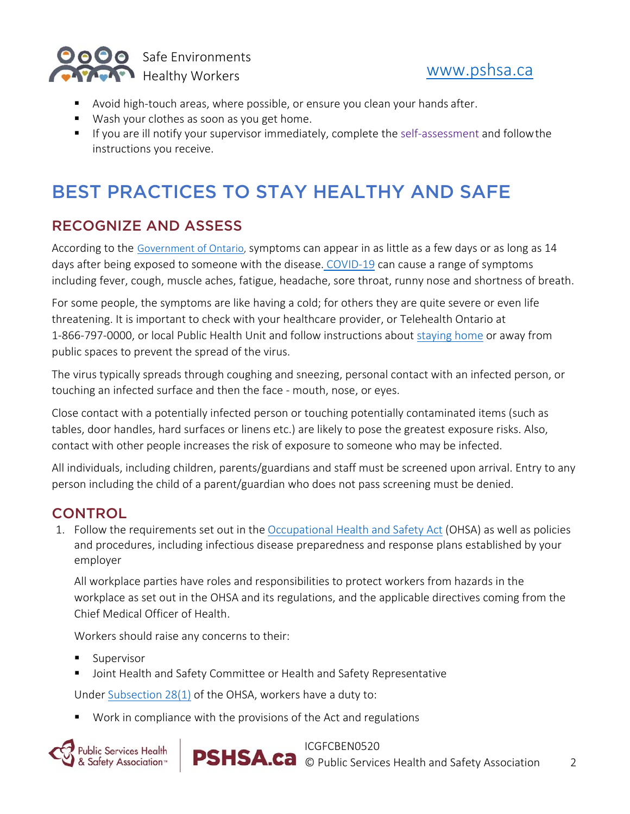

- Avoid high-touch areas, where possible, or ensure you clean your hands after.
- Wash your clothes as soon as you get home.
- If you are ill notify your supervisor immediately, complete the self-assessment and follow the instructions you receive.

## BEST PRACTICES TO STAY HEALTHY AND SAFE

#### RECOGNIZE AND ASSESS

According to the Government of Ontario, symptoms can appear in as little as a few days or as long as 14 days after being exposed to someone with the disease. COVID‐19 can cause a range of symptoms including fever, cough, muscle aches, fatigue, headache, sore throat, runny nose and shortness of breath.

For some people, the symptoms are like having a cold; for others they are quite severe or even life threatening. It is important to check with your healthcare provider, or Telehealth Ontario at 1‐866‐797‐0000, or local Public Health Unit and follow instructions about staying home or away from public spaces to prevent the spread of the virus.

The virus typically spreads through coughing and sneezing, personal contact with an infected person, or touching an infected surface and then the face ‐ mouth, nose, or eyes.

Close contact with a potentially infected person or touching potentially contaminated items (such as tables, door handles, hard surfaces or linens etc.) are likely to pose the greatest exposure risks. Also, contact with other people increases the risk of exposure to someone who may be infected.

All individuals, including children, parents/guardians and staff must be screened upon arrival. Entry to any person including the child of a parent/guardian who does not pass screening must be denied.

### **CONTROL**

1. Follow the requirements set out in the Occupational Health and Safety Act (OHSA) as well as policies and procedures, including infectious disease preparedness and response plans established by your employer

All workplace parties have roles and responsibilities to protect workers from hazards in the workplace as set out in the OHSA and its regulations, and the applicable directives coming from the Chief Medical Officer of Health.

Workers should raise any concerns to their:

- **Supervisor**
- Joint Health and Safety Committee or Health and Safety Representative

Under Subsection 28(1) of the OHSA, workers have a duty to:

Work in compliance with the provisions of the Act and regulations



ICGFCBEN0520

**PSHSA.ca** © Public Services Health and Safety Association 2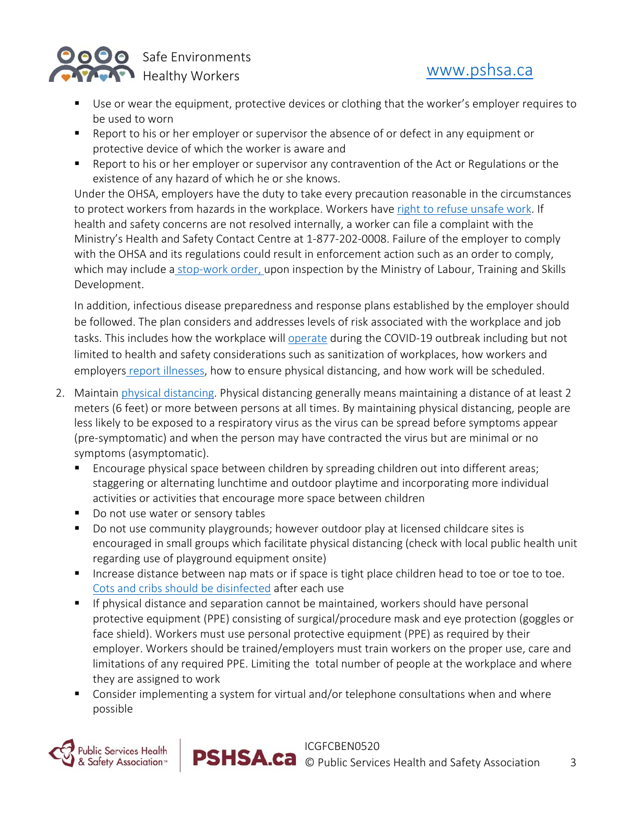

- Use or wear the equipment, protective devices or clothing that the worker's employer requires to be used to worn
- **EX** Report to his or her employer or supervisor the absence of or defect in any equipment or protective device of which the worker is aware and
- **Report to his or her employer or supervisor any contravention of the Act or Regulations or the** existence of any hazard of which he or she knows.

Under the OHSA, employers have the duty to take every precaution reasonable in the circumstances to protect workers from hazards in the workplace. Workers have right to refuse unsafe work. If health and safety concerns are not resolved internally, a worker can file a complaint with the Ministry's Health and Safety Contact Centre at 1‐877‐202‐0008. Failure of the employer to comply with the OHSA and its regulations could result in enforcement action such as an order to comply, which may include a stop-work order, upon inspection by the Ministry of Labour, Training and Skills Development.

In addition, infectious disease preparedness and response plans established by the employer should be followed. The plan considers and addresses levels of risk associated with the workplace and job tasks. This includes how the workplace will operate during the COVID-19 outbreak including but not limited to health and safety considerations such as sanitization of workplaces, how workers and employers report illnesses, how to ensure physical distancing, and how work will be scheduled.

- 2. Maintain physical distancing. Physical distancing generally means maintaining a distance of at least 2 meters (6 feet) or more between persons at all times. By maintaining physical distancing, people are less likely to be exposed to a respiratory virus as the virus can be spread before symptoms appear (pre‐symptomatic) and when the person may have contracted the virus but are minimal or no symptoms (asymptomatic).
	- Encourage physical space between children by spreading children out into different areas; staggering or alternating lunchtime and outdoor playtime and incorporating more individual activities or activities that encourage more space between children
	- Do not use water or sensory tables
	- Do not use community playgrounds; however outdoor play at licensed childcare sites is encouraged in small groups which facilitate physical distancing (check with local public health unit regarding use of playground equipment onsite)
	- **Increase distance between nap mats or if space is tight place children head to toe or toe to toe.** Cots and cribs should be disinfected after each use
	- If physical distance and separation cannot be maintained, workers should have personal protective equipment (PPE) consisting of surgical/procedure mask and eye protection (goggles or face shield). Workers must use personal protective equipment (PPE) as required by their employer. Workers should be trained/employers must train workers on the proper use, care and limitations of any required PPE. Limiting the total number of people at the workplace and where they are assigned to work
	- Consider implementing a system for virtual and/or telephone consultations when and where possible

ICGFCBEN0520

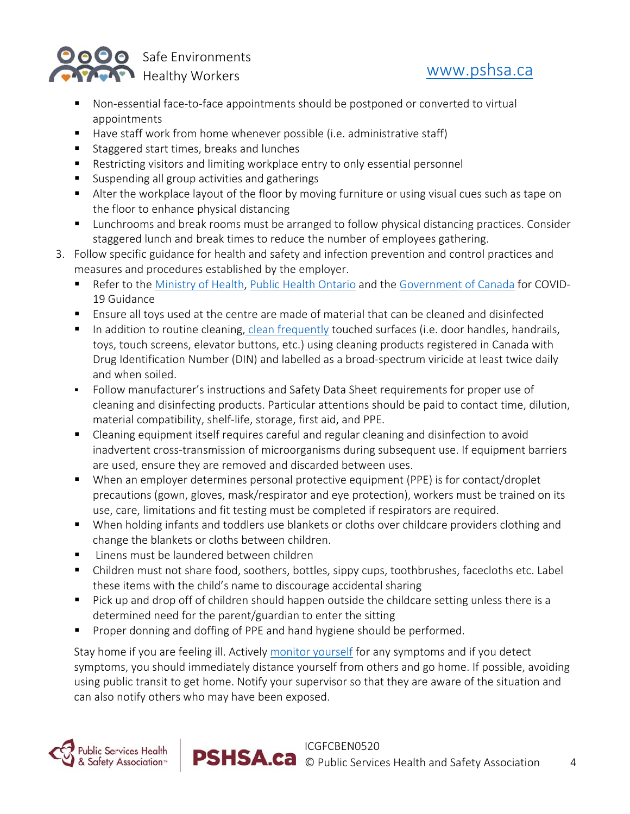

- Non-essential face-to-face appointments should be postponed or converted to virtual appointments
- Have staff work from home whenever possible (i.e. administrative staff)
- Staggered start times, breaks and lunches
- Restricting visitors and limiting workplace entry to only essential personnel
- Suspending all group activities and gatherings
- Alter the workplace layout of the floor by moving furniture or using visual cues such as tape on the floor to enhance physical distancing
- Lunchrooms and break rooms must be arranged to follow physical distancing practices. Consider staggered lunch and break times to reduce the number of employees gathering.
- 3. Follow specific guidance for health and safety and infection prevention and control practices and measures and procedures established by the employer.
	- Refer to the Ministry of Health, Public Health Ontario and the Government of Canada for COVID‐ 19 Guidance
	- Ensure all toys used at the centre are made of material that can be cleaned and disinfected
	- In addition to routine cleaning, clean frequently touched surfaces (i.e. door handles, handrails, toys, touch screens, elevator buttons, etc.) using cleaning products registered in Canada with Drug Identification Number (DIN) and labelled as a broad‐spectrum viricide at least twice daily and when soiled.
	- Follow manufacturer's instructions and Safety Data Sheet requirements for proper use of cleaning and disinfecting products. Particular attentions should be paid to contact time, dilution, material compatibility, shelf‐life, storage, first aid, and PPE.
	- Cleaning equipment itself requires careful and regular cleaning and disinfection to avoid inadvertent cross‐transmission of microorganisms during subsequent use. If equipment barriers are used, ensure they are removed and discarded between uses.
	- When an employer determines personal protective equipment (PPE) is for contact/droplet precautions (gown, gloves, mask/respirator and eye protection), workers must be trained on its use, care, limitations and fit testing must be completed if respirators are required.
	- When holding infants and toddlers use blankets or cloths over childcare providers clothing and change the blankets or cloths between children.
	- Linens must be laundered between children
	- Children must not share food, soothers, bottles, sippy cups, toothbrushes, facecloths etc. Label these items with the child's name to discourage accidental sharing
	- Pick up and drop off of children should happen outside the childcare setting unless there is a determined need for the parent/guardian to enter the sitting
	- Proper donning and doffing of PPE and hand hygiene should be performed.

Stay home if you are feeling ill. Actively monitor yourself for any symptoms and if you detect symptoms, you should immediately distance yourself from others and go home. If possible, avoiding using public transit to get home. Notify your supervisor so that they are aware of the situation and can also notify others who may have been exposed.

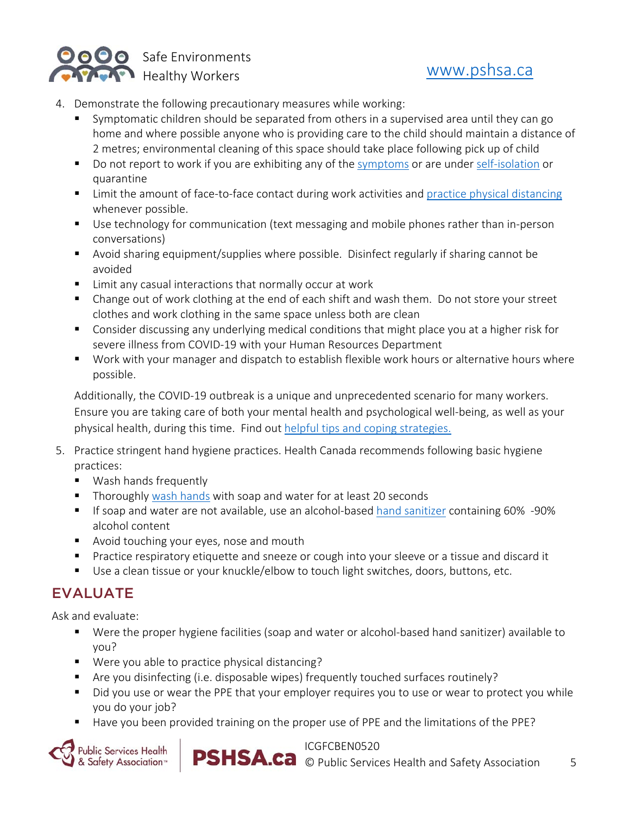

- 4. Demonstrate the following precautionary measures while working:
	- Symptomatic children should be separated from others in a supervised area until they can go home and where possible anyone who is providing care to the child should maintain a distance of 2 metres; environmental cleaning of this space should take place following pick up of child
	- Do not report to work if you are exhibiting any of the symptoms or are under self-isolation or quarantine
	- Limit the amount of face-to-face contact during work activities and practice physical distancing whenever possible.
	- Use technology for communication (text messaging and mobile phones rather than in-person conversations)
	- Avoid sharing equipment/supplies where possible. Disinfect regularly if sharing cannot be avoided
	- Limit any casual interactions that normally occur at work
	- Change out of work clothing at the end of each shift and wash them. Do not store your street clothes and work clothing in the same space unless both are clean
	- Consider discussing any underlying medical conditions that might place you at a higher risk for severe illness from COVID‐19 with your Human Resources Department
	- Work with your manager and dispatch to establish flexible work hours or alternative hours where possible.

Additionally, the COVID-19 outbreak is a unique and unprecedented scenario for many workers. Ensure you are taking care of both your mental health and psychological well‐being, as well as your physical health, during this time. Find out helpful tips and coping strategies.

- 5. Practice stringent hand hygiene practices. Health Canada recommends following basic hygiene practices:
	- **Wash hands frequently**
	- Thoroughly wash hands with soap and water for at least 20 seconds
	- If soap and water are not available, use an alcohol-based hand sanitizer containing 60% -90% alcohol content
	- **Avoid touching your eyes, nose and mouth**
	- **Practice respiratory etiquette and sneeze or cough into your sleeve or a tissue and discard it**
	- Use a clean tissue or your knuckle/elbow to touch light switches, doors, buttons, etc.

### EVALUATE

Ask and evaluate:

- Were the proper hygiene facilities (soap and water or alcohol-based hand sanitizer) available to you?
- Were you able to practice physical distancing?
- Are you disinfecting (i.e. disposable wipes) frequently touched surfaces routinely?
- Did you use or wear the PPE that your employer requires you to use or wear to protect you while you do your job?
- Have you been provided training on the proper use of PPE and the limitations of the PPE?





ICGFCBEN0520

**PSHSA.ca** © Public Services Health and Safety Association 5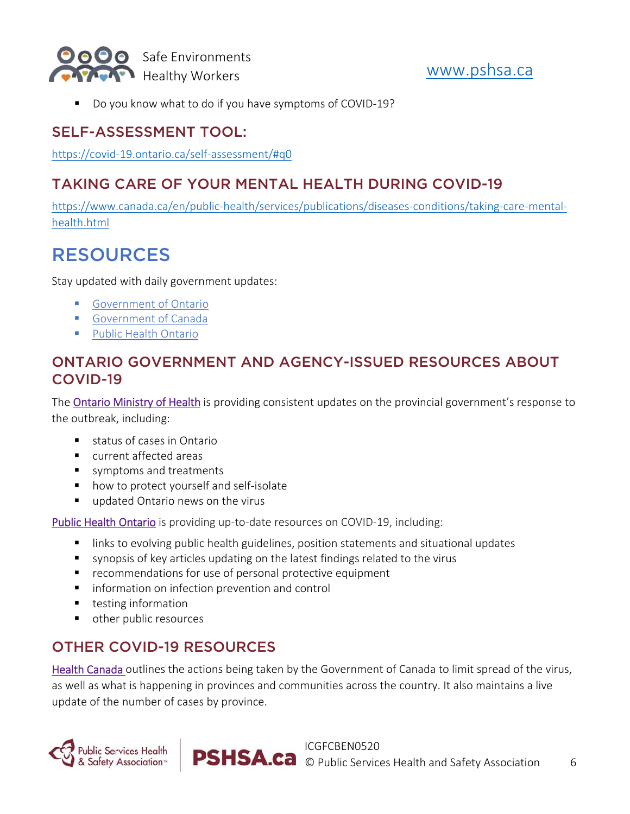

■ Do you know what to do if you have symptoms of COVID-19?

#### SELF-ASSESSMENT TOOL:

https://covid‐19.ontario.ca/self‐assessment/#q0

### TAKING CARE OF YOUR MENTAL HEALTH DURING COVID-19

https://www.canada.ca/en/public-health/services/publications/diseases-conditions/taking-care-mentalhealth.html

## RESOURCES

Stay updated with daily government updates:

- **Government of Ontario**
- **Government of Canada**
- **Public Health Ontario**

#### ONTARIO GOVERNMENT AND AGENCY-ISSUED RESOURCES ABOUT COVID-19

The Ontario Ministry of Health is providing consistent updates on the provincial government's response to the outbreak, including:

- status of cases in Ontario
- **E** current affected areas
- symptoms and treatments
- how to protect yourself and self-isolate
- updated Ontario news on the virus

Public Health Ontario is providing up-to-date resources on COVID-19, including:

- **I** links to evolving public health guidelines, position statements and situational updates
- synopsis of key articles updating on the latest findings related to the virus
- **F** recommendations for use of personal protective equipment
- **I** information on infection prevention and control
- **testing information**
- other public resources

### OTHER COVID-19 RESOURCES

Health Canada outlines the actions being taken by the Government of Canada to limit spread of the virus, as well as what is happening in provinces and communities across the country. It also maintains a live update of the number of cases by province.